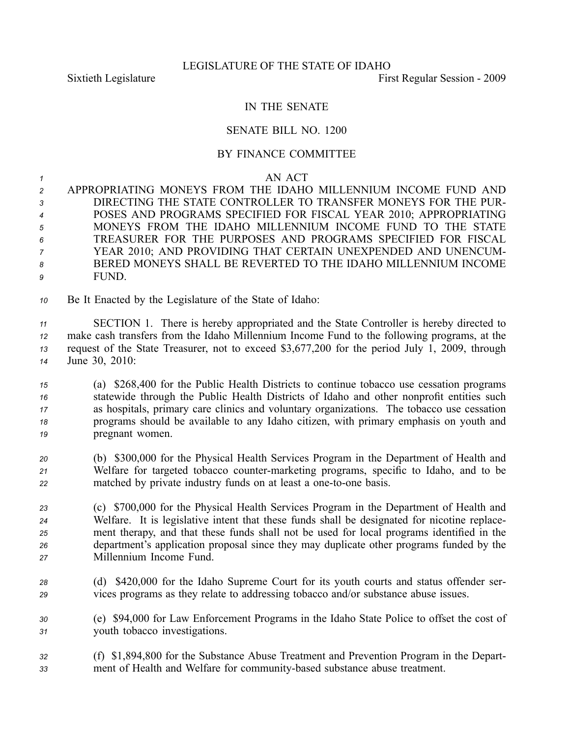## IN THE SENATE

## SENATE BILL NO. 1200

## BY FINANCE COMMITTEE

## *<sup>1</sup>* AN ACT

- *<sup>2</sup>* APPROPRIATING MONEYS FROM THE IDAHO MILLENNIUM INCOME FUND AND *3* DIRECTING THE STATE CONTROLLER TO TRANSFER MONEYS FOR THE PUR-*<sup>4</sup>* POSES AND PROGRAMS SPECIFIED FOR FISCAL YEAR 2010; APPROPRIATING *<sup>5</sup>* MONEYS FROM THE IDAHO MILLENNIUM INCOME FUND TO THE STATE *6* TREASURER FOR THE PURPOSES AND PROGRAMS SPECIFIED FOR FISCAL *<sup>7</sup>* YEAR 2010; AND PROVIDING THAT CERTAIN UNEXPENDED AND UNENCUM-*8* BERED MONEYS SHALL BE REVERTED TO THE IDAHO MILLENNIUM INCOME *9* FUND.
- *<sup>10</sup>* Be It Enacted by the Legislature of the State of Idaho:

 SECTION 1. There is hereby appropriated and the State Controller is hereby directed to make cash transfers from the Idaho Millennium Income Fund to the following programs, at the reques<sup>t</sup> of the State Treasurer, not to exceed \$3,677,200 for the period July 1, 2009, through June 30, 2010:

 (a) \$268,400 for the Public Health Districts to continue tobacco use cessation programs statewide through the Public Health Districts of Idaho and other nonprofit entities such as hospitals, primary care clinics and voluntary organizations. The tobacco use cessation programs should be available to any Idaho citizen, with primary emphasis on youth and pregnant women.

- *<sup>20</sup>* (b) \$300,000 for the Physical Health Services Program in the Department of Health and *<sup>21</sup>* Welfare for targeted tobacco countermarketing programs, specific to Idaho, and to be 22 matched by private industry funds on at least a one-to-one basis.
- *<sup>23</sup>* (c) \$700,000 for the Physical Health Services Program in the Department of Health and *<sup>24</sup>* Welfare. It is legislative intent that these funds shall be designated for nicotine replace-*<sup>25</sup>* ment therapy, and that these funds shall not be used for local programs identified in the *<sup>26</sup>* department's application proposal since they may duplicate other programs funded by the *<sup>27</sup>* Millennium Income Fund.
- *<sup>28</sup>* (d) \$420,000 for the Idaho Supreme Court for its youth courts and status offender ser-*<sup>29</sup>* vices programs as they relate to addressing tobacco and/or substance abuse issues.
- *<sup>30</sup>* (e) \$94,000 for Law Enforcement Programs in the Idaho State Police to offset the cost of *<sup>31</sup>* youth tobacco investigations.
- *<sup>32</sup>* (f) \$1,894,800 for the Substance Abuse Treatment and Prevention Program in the Depart-*<sup>33</sup>* ment of Health and Welfare for communitybased substance abuse treatment.